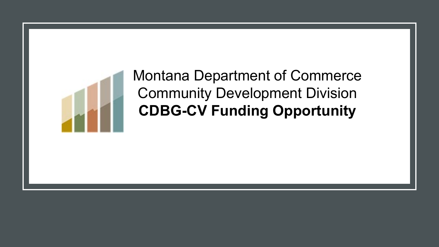

## Montana Department of Commerce Community Development Division **CDBG-CV Funding Opportunity**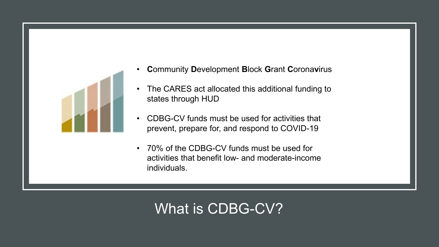

- **C**ommunity **D**evelopment **B**lock **G**rant **C**orona**v**irus
- The CARES act allocated this additional funding to states through HUD
- CDBG-CV funds must be used for activities that prevent, prepare for, and respond to COVID-19
- 70% of the CDBG-CV funds must be used for activities that benefit low- and moderate-income individuals.

## What is CDBG-CV?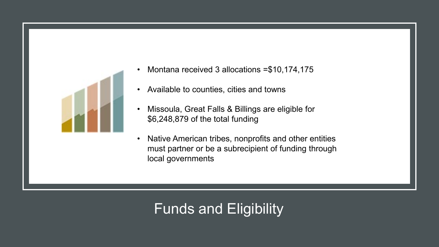

- Montana received 3 allocations =\$10,174,175
- Available to counties, cities and towns
- Missoula, Great Falls & Billings are eligible for \$6,248,879 of the total funding
- Native American tribes, nonprofits and other entities must partner or be a subrecipient of funding through local governments

## Funds and Eligibility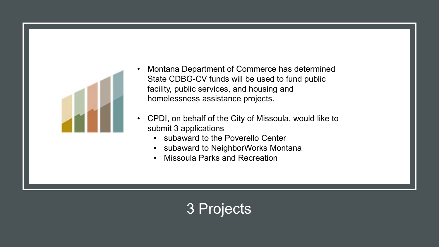

- Montana Department of Commerce has determined State CDBG-CV funds will be used to fund public facility, public services, and housing and homelessness assistance projects.
- CPDI, on behalf of the City of Missoula, would like to submit 3 applications
	- subaward to the Poverello Center
	- subaward to NeighborWorks Montana
	- Missoula Parks and Recreation

## 3 Projects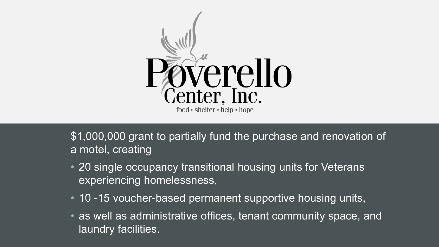

\$1,000,000 grant to partially fund the purchase and renovation of a motel, creating

- 20 single occupancy transitional housing units for Veterans experiencing homelessness,
- 10 -15 voucher-based permanent supportive housing units,
- as well as administrative offices, tenant community space, and laundry facilities.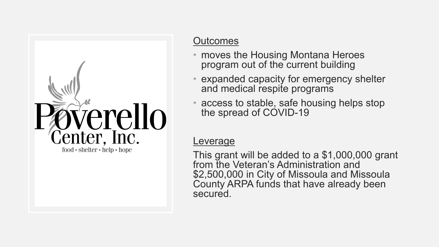

#### **Outcomes**

- moves the Housing Montana Heroes program out of the current building
- expanded capacity for emergency shelter and medical respite programs
- access to stable, safe housing helps stop the spread of COVID-19

#### **Leverage**

This grant will be added to a \$1,000,000 grant from the Veteran's Administration and \$2,500,000 in City of Missoula and Missoula County ARPA funds that have already been secured.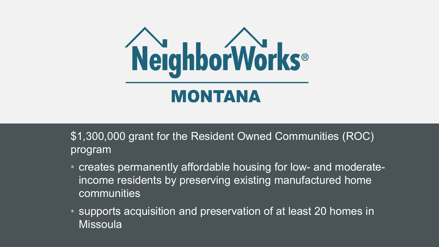

\$1,300,000 grant for the Resident Owned Communities (ROC) program

- creates permanently affordable housing for low- and moderateincome residents by preserving existing manufactured home communities
- supports acquisition and preservation of at least 20 homes in **Missoula**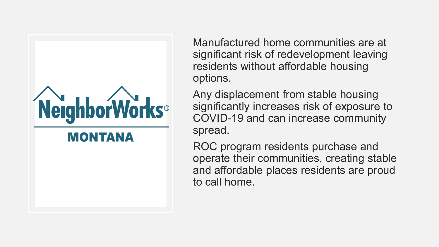

Manufactured home communities are at significant risk of redevelopment leaving residents without affordable housing options.

Any displacement from stable housing significantly increases risk of exposure to COVID-19 and can increase community spread.

ROC program residents purchase and operate their communities, creating stable and affordable places residents are proud to call home.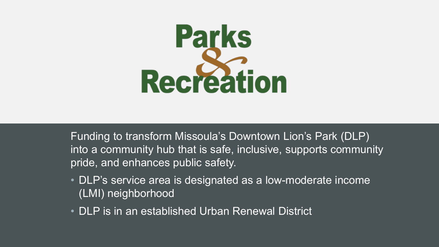

Funding to transform Missoula's Downtown Lion's Park (DLP) into a community hub that is safe, inclusive, supports community pride, and enhances public safety.

- DLP's service area is designated as a low-moderate income (LMI) neighborhood
- DLP is in an established Urban Renewal District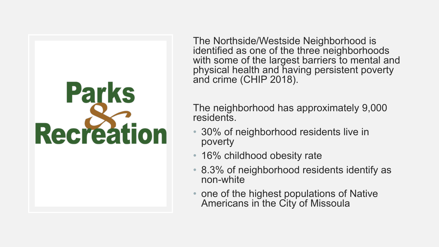# **Parks Recreation**

The Northside/Westside Neighborhood is identified as one of the three neighborhoods with some of the largest barriers to mental and physical health and having persistent poverty and crime (CHIP 2018).

The neighborhood has approximately 9,000 residents.

- 30% of neighborhood residents live in poverty
- 16% childhood obesity rate
- 8.3% of neighborhood residents identify as non-white
- one of the highest populations of Native Americans in the City of Missoula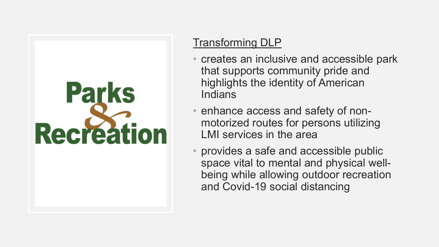# **Parks Recreation**

### Transforming DLP

- creates an inclusive and accessible park that supports community pride and highlights the identity of American **Indians**
- enhance access and safety of nonmotorized routes for persons utilizing LMI services in the area
- provides a safe and accessible public space vital to mental and physical wellbeing while allowing outdoor recreation and Covid-19 social distancing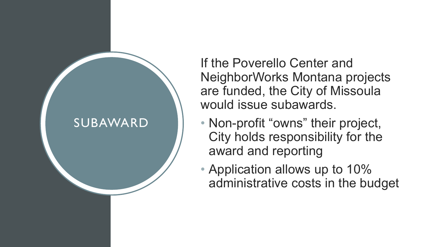

If the Poverello Center and NeighborWorks Montana projects are funded, the City of Missoula would issue subawards.

- Non-profit "owns" their project, City holds responsibility for the award and reporting
- Application allows up to 10% administrative costs in the budget